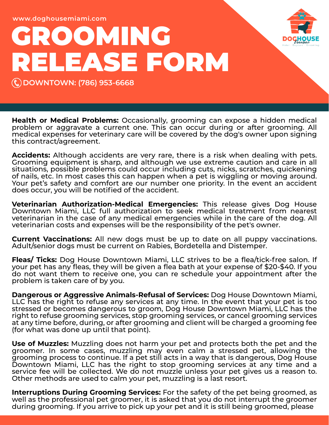**www.doghousemiami.com**

## **GROOMING RELEASE FORM**

**DOWNTOWN: (786) 953-6668**

**Health or Medical Problems:** Occasionally, grooming can expose a hidden medical problem or aggravate a current one. This can occur during or after grooming. All medical expenses for veterinary care will be covered by the dog's owner upon signing this contract/agreement.

**Accidents:** Although accidents are very rare, there is a risk when dealing with pets. Grooming equipment is sharp, and although we use extreme caution and care in all situations, possible problems could occur including cuts, nicks, scratches, quickening of nails, etc. In most cases this can happen when a pet is wiggling or moving around. Your pet's safety and comfort are our number one priority. In the event an accident does occur, you will be notified of the accident.

**Veterinarian Authorization-Medical Emergencies:** This release gives Dog House Downtown Miami, LLC full authorization to seek medical treatment from nearest veterinarian in the case of any medical emergencies while in the care of the dog. All veterinarian costs and expenses will be the responsibility of the pet's owner.

**Current Vaccinations:** All new dogs must be up to date on all puppy vaccinations. Adult/senior dogs must be current on Rabies, Bordetella and Distemper.

**Fleas/ Ticks:** Dog House Downtown Miami, LLC strives to be a flea/tick-free salon. If your pet has any fleas, they will be given a flea bath at your expense of \$20-\$40. If you do not want them to receive one, you can re schedule your appointment after the problem is taken care of by you.

**Dangerous or Aggressive Animals-Refusal of Services:** Dog House Downtown Miami, LLC has the right to refuse any services at any time. In the event that your pet is too stressed or becomes dangerous to groom, Dog House Downtown Miami, LLC has the right to refuse grooming services, stop grooming services, or cancel grooming services at any time before, during, or after grooming and client will be charged a grooming fee (for what was done up until that point).

**Use of Muzzles:** Muzzling does not harm your pet and protects both the pet and the groomer. In some cases, muzzling may even calm a stressed pet, allowing the grooming process to continue. If a pet still acts in a way that is dangerous, Dog House Downtown Miami, LLC has the right to stop grooming services at any time and a service fee will be collected. We do not muzzle unless your pet gives us a reason to. Other methods are used to calm your pet, muzzling is a last resort.

**Interruptions During Grooming Services:** For the safety of the pet being groomed, as well as the professional pet groomer, it is asked that you do not interrupt the groomer during grooming. If you arrive to pick up your pet and it is still being groomed, please